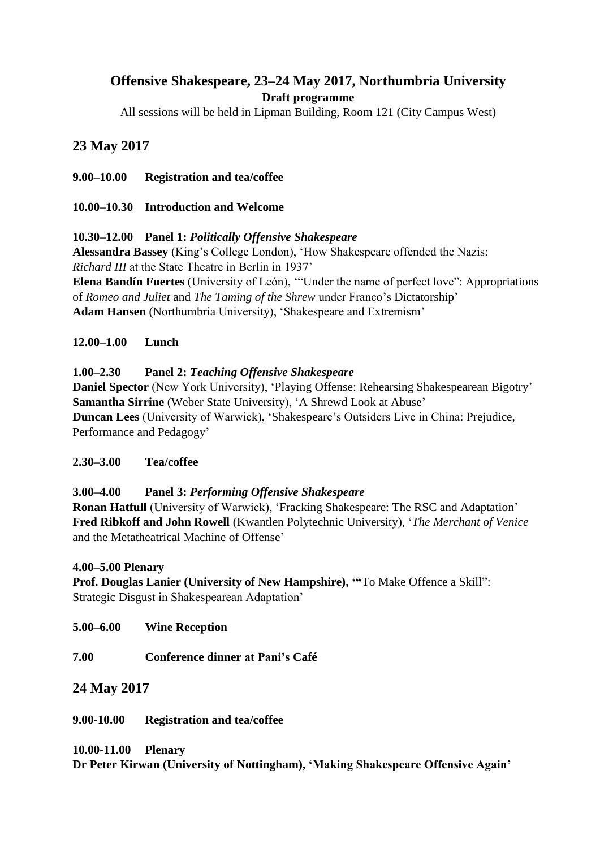# **Offensive Shakespeare, 23–24 May 2017, Northumbria University Draft programme**

All sessions will be held in Lipman Building, Room 121 (City Campus West)

## **23 May 2017**

**9.00–10.00 Registration and tea/coffee**

**10.00–10.30 Introduction and Welcome**

#### **10.30–12.00 Panel 1:** *Politically Offensive Shakespeare*

**Alessandra Bassey** (King's College London), 'How Shakespeare offended the Nazis: *Richard III* at the State Theatre in Berlin in 1937'

**Elena Bandín Fuertes** (University of León), '"Under the name of perfect love": Appropriations of *Romeo and Juliet* and *The Taming of the Shrew* under Franco's Dictatorship' **Adam Hansen** (Northumbria University), 'Shakespeare and Extremism'

#### **12.00–1.00 Lunch**

#### **1.00–2.30 Panel 2:** *Teaching Offensive Shakespeare*

**Daniel Spector** (New York University), 'Playing Offense: Rehearsing Shakespearean Bigotry' **Samantha Sirrine** (Weber State University), 'A Shrewd Look at Abuse' **Duncan Lees** (University of Warwick), 'Shakespeare's Outsiders Live in China: Prejudice, Performance and Pedagogy'

## **2.30–3.00 Tea/coffee**

#### **3.00–4.00 Panel 3:** *Performing Offensive Shakespeare*

**Ronan Hatfull** (University of Warwick), 'Fracking Shakespeare: The RSC and Adaptation' **Fred Ribkoff and John Rowell** (Kwantlen Polytechnic University), '*The Merchant of Venice* and the Metatheatrical Machine of Offense'

#### **4.00–5.00 Plenary**

**Prof. Douglas Lanier (University of New Hampshire), '"**To Make Offence a Skill": Strategic Disgust in Shakespearean Adaptation'

**5.00–6.00 Wine Reception**

**7.00 Conference dinner at Pani's Café** 

## **24 May 2017**

**9.00-10.00 Registration and tea/coffee**

#### **10.00-11.00 Plenary**

**Dr Peter Kirwan (University of Nottingham), 'Making Shakespeare Offensive Again'**